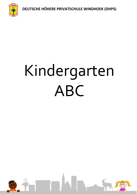**DEUTSCHE HÖHERE PRIVATSCHULE WINDHOEK (DHPS)**



# Kindergarten ABC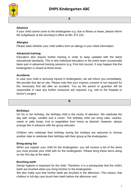

#### **A**

# **Absence**

If your child cannot come to the kindergarten e.g. due to illness or leave, please inform Ms Aufgebauer at the secretary's office at 061 373 103.

# **Allergies**

Please state whether your child suffers from an allergy in your initial information.

#### **Advanced training**

Educators also require further training in order to keep updated with the latest educational standards. This is why individual educators or the entire team occasionally takes part in advanced training sessions (e.g. First Aid course). It may happen that the kindergarten is closed at these times.

#### **Accidents**

In case your child is seriously injured in kindergarten, we will inform you immediately. We provide first aid on site. Please note that your express consent is not required for the necessary first aid after an accident. You as the parent or guardian will be responsible in case any further measures are required, e.g. visit to the hospital or doctor's surgery.

**B**

#### **Birthdays**

On his or her birthday, the birthday child is the centre of attention. We celebrate the day with songs, candles and a crown. The birthday child can bring cake, cookies, sweet or salty treats, fruit or vegetables from home as desired. However, please arrange this in advance with the group educator.

Children who celebrate their birthday during the holidays are welcome to choose another date to celebrate their birthday with their group at the kindergarten.

#### **Bring-along list**

When you register your child for the kindergarten, you will receive a list of the items you must provide your child with for the kindergarten. Please bring these items along on the first day at the latest.

#### **Brushing teeth**

Dental hygiene is important for the child. Therefore, it is a prerequisite that the child's teeth are brushed when you bring him/her to the kindergarten.

We also make sure that his/her teeth are brushed in the afternoon. This means, that children in full-day care brush their teeth before the afternoon rest.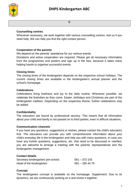

**C**

# **Counselling centres**

Whenever necessary, we work together with various counselling centres. Ask us if you need help. We can help you find the right contact person.

# **Cooperation of the parents**

We depend on the parents' assistance for our various events.

Donations and active cooperation are required. Please get all necessary information from the programmes and posters and sign up in the lists, because it takes many helping hands to organise successful events.

# **Closing times**

The closing times of the kindergarten depends on the respective school holidays. The current closing times are available in the kindergarten's annual planner and the school's homepage.

# **Celebrations**

Celebrations bring liveliness and joy to the daily routine. Whenever possible, we celebrate the festivities as they come. Easter, birthdays and Christmas are part of the kindergarten tradition. Depending on the respective theme, further celebrations may be added.

# **Confidentiality**

The educators are bound by professional secrecy. This means that all information about your child and family is not passed on to third parties, even in difficult situations.

# **Communication channels**

If you have any questions, suggestions or wishes, please contact the child's educators first. The educators can provide you with comprehensive information about your child's everyday life in the kindergarten and help you with many questions. In case you have any further questions, suggestions, etc. that need to be discussed or clarified, you are welcome to arrange a meeting with the parents' representatives and the kindergarten management.

# **Contact details**

| Secretary kindergarten/ pre-school: | $061 - 373103$  |
|-------------------------------------|-----------------|
| Head of the kindergarten:           | $081 - 1654475$ |

# **Concept**

The kindergarten concept is available on the homepage. Supplement: Due to its dynamics, we are continuously working on it and revise it together.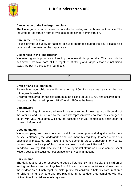

## **Cancellation of the kindergarten place**

The kindergarten contract must be cancelled in writing with a three-month notice. The required de-registration form is available at the school administration.

## **Care in the U3 section**

Please provide a supply of nappies to avoid shortages during the day. Please also provide skin ointment for the nappy area.

## **Cleanliness in the kindergarten**

We attach great importance to keeping the whole kindergarten tidy. This can only be achieved if we take care of this together. Clothing and slippers that are not tidied away, are put in the lost and found box.

**D**

## **Drop-off and pick-up times**

Please bring your child to the kindergarten by 8:00. This way, we can start the day with a joint breakfast.

Children registered for half-day care must be picked up until 13h00 and children in fullday care can be picked up from 15h00 until 17h00 at the latest.

# **Data privacy**

At the beginning of the year, address lists are drawn up for each group with details of the families and handed out to the parents' representatives so that they can get in touch with you. Your data will only be passed on if you complete a declaration of consent beforehand.

#### **Documentation**

We accompany and promote your child in its development during the entire time he/she is attending the kindergarten and document this regularly. In order to plan our educational measures and make the developmental steps transparent for you as parents, we compile a portfolio together with each child (see P Portfolio).

In addition, we regularly document the developmental status on a development sheet twice a year and discuss our observations with you in a meeting.

#### **Daily routine**

The daily routine of the respective groups differs slightly. In principle, the children of each group have breakfast together first, followed by time for activities and free play in the outdoor area, lunch together, pick-up time for children in half-day care, rest time for children in full-day care and free play time in the outdoor area combined with the pick-up time for children in full-day care.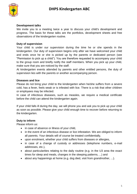

# **Development talks**

We invite you to a meeting twice a year to discuss your child's development and progress. The basis for these talks are the portfolios, development sheets and free observations of the kindergarten routine.

# **Duty of supervision**

Your child is under our supervision during the time he or she spends in the kindergarten. Our duty of supervision begins only after we have welcomed your child and ends once he or she is picked up by the parents or dedicated person (see "Permission to pick up a child"). You are therefore requested to accompany your child to the group room and briefly notify the staff members. When you pick up your child, make sure that you are noticed by the staff.

At kindergarten events attended by parents and other entitled persons, the duty of supervision lies with the parents or another accompanying person.

# **Diseases and lice**

Please do not bring your child to the kindergarten when he/she suffers from a severe cold, has a fever, feels weak or is infested with lice. There is a risk that other children or employees may be infected.

In case of infectious diseases, such as measles, we require a medical certificate before the child can attend the kindergarten again.

If your child falls ill during the day, we will phone you and ask you to pick up your child as soon as possible. Please give your child enough time to recover before returning to the kindergarten.

# **Duty to inform**

Please inform us:

- in case of absence or illness of your child,
- in the event of an infectious disease or lice infestation. We are obliged to inform all parents. Your details will of course be treated confidentially,
- upon enrolment, whether your child suffers from diseases or allergies,
- in case of a change of custody or addresses (telephone numbers, e-mail addresses, etc.),
- about particularities relating to the daily routine (e.g. in the U3 area the exact times for sleep and meals, changes in the sleeping patterns, ...) and
- about any happenings at home (e.g. dog died, visit from grandmother, ...).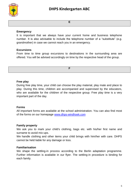

**E**

# **Emergency**

It is important that we always have your current home and business telephone number. It is also advisable to include the telephone number of a "substitute" (e.g. grandmother) in case we cannot reach you in an emergency.

# **Excursions**

From time to time group excursions to destinations in the surrounding area are offered. You will be advised accordingly on time by the respective head of the group.

**F**

# **Free play**

During free play time, your child can choose the play material, play mate and place to play. During this time, children are accompanied and supervised by the educators, who are available for the children of the respective group. Free play time is a very important part of the day.

# **Forms**

All important forms are available at the school administration. You can also find most of the forms on our homepage [www.dhps-windhoek.com](http://www.dhps-windhoek.com/)

# **Family property**

We ask you to mark your child's clothing, bags etc. with his/her first name and surname to avoid mix-ups.

We handle clothing and other items your child brings with him/her with care. DHPS cannot be held liable for any damage or loss.

# **Familiarisation**

We shape the settling-in process according to the Berlin adaptation programme. Further information is available in our flyer. The settling-in procedure is binding for each family.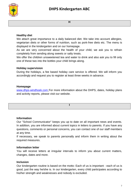

#### **H**

# **Healthy diet**

We attach great importance to a daily balanced diet. We take into account allergies, vegetarian diets or other forms of nutrition, such as pork-free diets etc. The menu is displayed in the kindergarten and on our homepage.

As we are very concerned about the health of your child, we ask you to refrain completely from sending along sweets or salty treats.

We offer the children unsweetened tea and water to drink and also ask you to fill only one of these two into the bottles your child brings along.

# **Holiday supervision**

During the holidays, a fee based holiday care service is offered. We will inform you accordingly and request you to register at least three weeks in advance.

# **Homepage**

[www.dhps-windhoek.com](http://www.dhps-windhoek.com/) For more information about the DHPS, dates, holiday plans and activity reports, please visit our website.

**I**

#### **Information**

Our "School Communicator" keeps you up to date on all important news and events. In addition, you are informed about current topics in letters to parents. If you have any questions, comments or personal concerns, you can contact one of our staff members at any time.

If necessary, we speak to parents personally and inform them in writing about the required measures.

# **Information letter**

You will receive letters at irregular intervals to inform you about current matters, changes, dates and more.

# **Inclusion**

Our kindergarten routine is based on the motto: Each of us is important - each of us is good, just the way he/she is. In our kindergarten, every child participates according to his/her strength and weaknesses and nobody is excluded.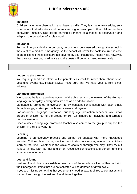

## **Imitation**

Children have great observation and listening skills. They learn a lot from adults, so it is important that educators and parents set a good example to their children in their behaviour. Imitation, also called learning by means of a model, is observation and adapting the behaviour of a role model.

## **Insurance**

For the time your child is in our care, he or she is only insured through the school in the event of a medical emergency, so the school will cover the costs incurred in case of an accident if these costs are not covered by your insurance. Please note, however, that parents must pay in advance and the costs will be reimbursed retroactively.

**L**

**Letters to the parents**

We regularly send out letters to the parents via e-mail to inform them about news, upcoming events etc. Please always make sure that we have your current e-mail address.

## **Language promotion**

We support the language development of the children and the learning of the German language in everyday kindergarten life and as an additional offer.

Language is promoted in everyday life by constant conversation with each other, through songs, stories, picture books, verses and rhymes.

For additional language promotion, our language promotion teachers take small groups of children out of the groups for 10 - 15 minutes for individual and targeted practise sessions.

Once a week, a language promotion teacher also comes to the group to support the children in their everyday life.

# **Learning**

Learning is an everyday process and cannot be equated with mere knowledge transfer. Children learn through active participation in everyday events, i.e. children learn all the time - whether in the circle of chairs or through free play. They try out various things, learn by trial and error, recognise connections and benefit from the experiences of others.

# **Lost and found**

Lost and found objects are exhibited each end of the month in a kind of flea market in the kindergarten. Items that are not collected will be donated or given away.

If you are missing something that you urgently need, please feel free to contact us and we can look through the lost and found items together.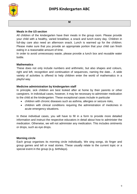

#### **M**

# **Meals in the U3 section**

All children of the kindergarten have their meals in the group room. Please provide your child with a healthy, varied breakfast, a snack and lunch every day. Children in full-day care also need an afternoon snack. Lunch is warmed up for the children. Please make sure that you provide an appropriate portion that your child can finish eating in a reasonable amount of time.

In order to avoid unnecessary waste, please provide a lunch box and reusable water bottle.

# **Mathematics**

These does not only include numbers and arithmetic, but also shapes and colours, right and left, recognition and continuation of sequences, naming the date... A wide variety of activities is offered to help children enter the world of mathematics in a playful way.

# **Medicine administration by kindergarten staff**

In principle, sick children are best looked after at home by their parents or other caregivers. In individual cases, however, it may be necessary to administer medication to the child at the kindergarten. These exceptional cases include in particular

- children with chronic diseases such as asthma, allergies or seizure risks,
- children with clinical conditions requiring the administration of medicines in acute emergency situations.

In these individual cases, you will have to fill in a form to provide more detailed information and instruct the respective educators in detail about how to administer the medication. Otherwise, we will not administer any medication. This includes ointments or drops, such as eye drops.

# **Morning circle**

Each group organises its morning circle individually. We sing songs, do finger and group games and tell or read stories. These usually relate to the current topic or a special event in the group (e.g. birthdays).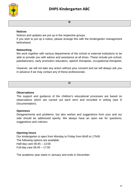

**N**

## **Notices**

Notices and updates are put up in the respective groups.

If you wish to put up a notice, please arrange this with the kindergarten management beforehand.

# **Networking**

We work together with various departments of the school or external institutions to be able to provide you with advice and assistance at all times. These include pre-school, paediatricians, early promotion educators, speech therapists, occupational therapists, ...

However, we will not take any action without your consent and we will always ask you in advance if we may contact any of these professionals.

**O**

# **Observations**

The support and guidance of the children's educational processes are based on observations which are carried out each term and recorded in writing (see D Documentation).

# **Openness**

Disagreements and problems, but also wishes and suggestions from your and our side should be addressed openly. We always have an open ear for questions, suggestions and criticism.

# **Opening hours**

Our kindergarten is open from Monday to Friday from 6h45 to 17h00. The following options are available: Half-day care 06:45 – 13:00 Full-day care 06:45 – 17:00

The academic year starts in January and ends in December.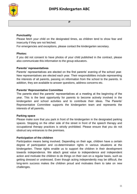

#### **P**

## **Punctuality**

Please fetch your child on the designated times, as children tend to show fear and insecurity if they are not fetched.

For emergencies and exceptions, please contact the kindergarten secretary.

#### **Photos:**

If you did not consent to have photos of your child published in the contract, please also communicate this information to the group educators.

## **Parents' representatives**

Parents' representatives are elected on the first parents' evening of the school year. New representatives are elected each year. Their responsibilities include representing the interests of all parents, passing on information from the school to the parents. In addition, they are available to answer questions, address concerns etc.

## **Parents' Representative Committee**

The parents elect the parents' representatives at a meeting at the beginning of the year. This is the best opportunity for parents to become actively involved in the kindergarten and school activities and to contribute their ideas. The Parents' Representative Committee supports the kindergarten team and represents the interests of all parents**.**

# **Parking space**

Please make sure that you park in front of the kindergarten in the designated parking spaces. Stopping on the other side of the street in front of the speech therapy and occupational therapy practices is strictly prohibited. Please ensure that you do not obstruct any entrances to the premises.

# **Participation of the children**

Participation means being involved. Depending on their age, children have a certain degree of participation and co-determination rights in various situations at the kindergarten. These rights enable us to support the children in their development towards independence. We attach great value to independence and independent action and motivate the children to do things on their own on a regular basis, such as getting dressed or undressed. Even though acting independently may be difficult, the long-term success makes the children proud and motivates them to take on new challenges.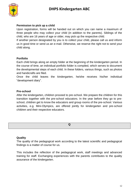

# **Permission to pick up a child**

Upon registration, forms will be handed out on which you can name a maximum of three people who may collect your child (in addition to the parents). Siblings of the child, who are 16 years of age or older, may pick up the respective child.

If another person designated by you is to collect your child, please call us and inform us in good time or send us an e-mail. Otherwise, we reserve the right not to send your child along.

# **Portfolio**

Each child brings along an empty folder at the beginning of the kindergarten period. In the course of time, an individual portfolio folder is compiled, which serves to document the developmental steps of each child. In these folders, various things, such as photos and handicrafts are filed.

Once the child leaves the kindergarten, he/she receives his/her individual "development diary".

# **Pre-school**

After the kindergarten, children proceed to pre-school. We prepare the children for this transition together with the pre-school educators. In the year before they go to preschool, children get to know the educators and group rooms of the pre-school. Various activities, e.g. Mini-Olympics, are offered jointly for kindergarten and pre-school children and their respective educators.



# **Quality**

The quality of the pedagogical work according to the latest scientific and pedagogical findings is a matter of course for us.

This includes the reflection of the pedagogical work, staff meetings and advanced training for staff. Exchanging experiences with the parents contributes to the quality assurance of the kindergarten.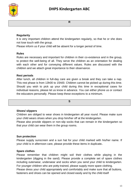

#### **R**

# **Regularity**

It is very important children attend the kindergarten regularly, so that he or she does not lose touch with the group.

Please inform us if your child will be absent for a longer period of time.

## **Rules**

Rules are necessary and important for children in their co-existence and in the group, to protect the well-being of all. They serve the children as an orientation for dealing with each other and for conveying different values. Rules are discussed with the children and we attach great importance to their observance.

## **Rest periods**

After lunch, all children in full-day care are given a break and they can take a nap. This rest phase is from 13h00 to 15h00. Children cannot be picked up during this time. Should you wish to pick up your child during this time in exceptional cases for individual reasons, please let us know in advance. You can either phone us or contact the educators personally. Please keep these exceptions to a minimum.

**S**

# **Shoes/ slippers**

Children are obliged to wear shoes in kindergarten all year round. Please make sure your child wears shoes when you drop him/her off at the kindergarten.

Please also provide slippers or non-slip socks that can remain in the kindergarten so that your child can wear them in the group rooms.

# **Sun protection**

Please supply sunscreen and a sun hat for your child marked with his/her name. If your child is in afternoon care, please provide these items in duplicate**.** 

# **Spare clothes**

Please remember that children might soil their clothes while playing in the kindergarten (digging in the sand). Please provide a complete set of spare clothes including outerwear, underwear and socks when you send your child to kindergarten. For younger children who are potty-trained, please supply more spare clothing. Please dress your child appropriately and comfortably and make sure that all buttons, fasteners and shoes can be opened and closed easily and by the child itself